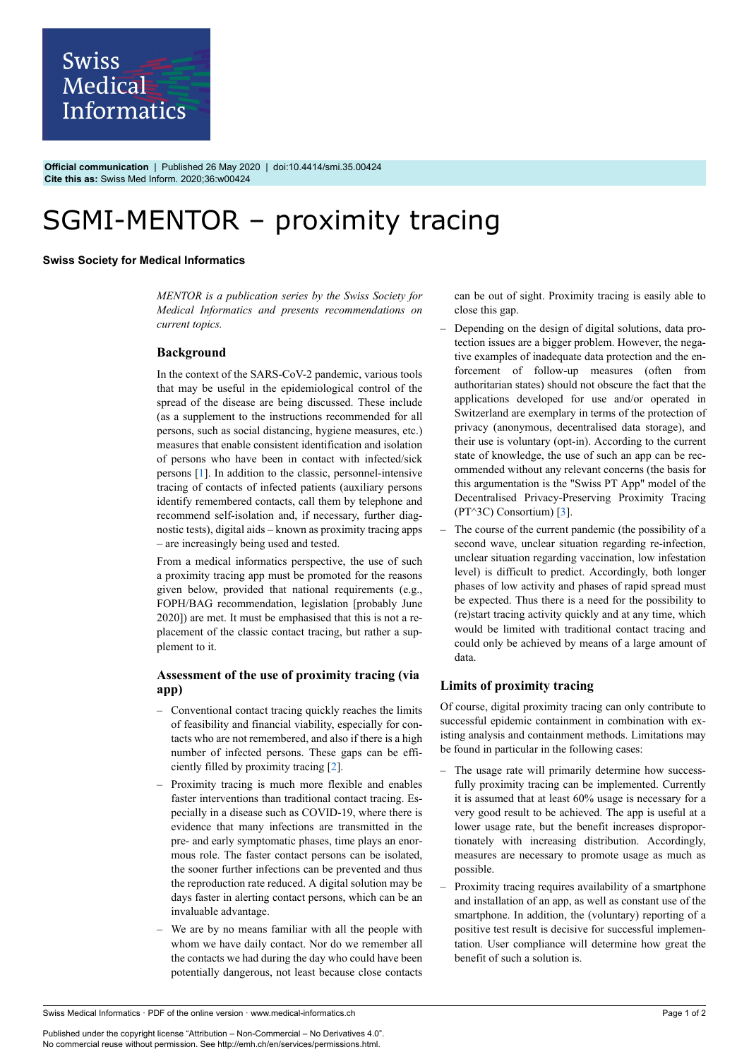

**Official communication** | Published 26 May 2020 | doi:10.4414/smi.35.00424 **Cite this as:** Swiss Med Inform. 2020;36:w00424

# SGMI-MENTOR - proximity tracing

#### **Swiss Society for Medical Informatics**

*MENTOR is a publication series by the Swiss Society for Medical Informatics and presents recommendations on current topics.*

#### **Background**

In the context of the SARS-CoV-2 pandemic, various tools that may be useful in the epidemiological control of the spread of the disease are being discussed. These include (as a supplement to the instructions recommended for all persons, such as social distancing, hygiene measures, etc.) measures that enable consistent identification and isolation of persons who have been in contact with infected/sick persons [[1](#page-1-0)]. In addition to the classic, personnel-intensive tracing of contacts of infected patients (auxiliary persons identify remembered contacts, call them by telephone and recommend self-isolation and, if necessary, further diagnostic tests), digital aids – known as proximity tracing apps – are increasingly being used and tested.

From a medical informatics perspective, the use of such a proximity tracing app must be promoted for the reasons given below, provided that national requirements (e.g., FOPH/BAG recommendation, legislation [probably June 2020]) are met. It must be emphasised that this is not a replacement of the classic contact tracing, but rather a supplement to it.

## **Assessment of the use of proximity tracing (via app)**

- Conventional contact tracing quickly reaches the limits of feasibility and financial viability, especially for contacts who are not remembered, and also if there is a high number of infected persons. These gaps can be efficiently filled by proximity tracing [\[2\]](#page-1-1).
- Proximity tracing is much more flexible and enables faster interventions than traditional contact tracing. Especially in a disease such as COVID-19, where there is evidence that many infections are transmitted in the pre- and early symptomatic phases, time plays an enormous role. The faster contact persons can be isolated, the sooner further infections can be prevented and thus the reproduction rate reduced. A digital solution may be days faster in alerting contact persons, which can be an invaluable advantage.
- We are by no means familiar with all the people with whom we have daily contact. Nor do we remember all the contacts we had during the day who could have been potentially dangerous, not least because close contacts

can be out of sight. Proximity tracing is easily able to close this gap.

- Depending on the design of digital solutions, data protection issues are a bigger problem. However, the negative examples of inadequate data protection and the enforcement of follow-up measures (often from authoritarian states) should not obscure the fact that the applications developed for use and/or operated in Switzerland are exemplary in terms of the protection of privacy (anonymous, decentralised data storage), and their use is voluntary (opt-in). According to the current state of knowledge, the use of such an app can be recommended without any relevant concerns (the basis for this argumentation is the "Swiss PT App" model of the Decentralised Privacy-Preserving Proximity Tracing (PT^3C) Consortium) [[3](#page-1-2)].
- The course of the current pandemic (the possibility of a second wave, unclear situation regarding re-infection, unclear situation regarding vaccination, low infestation level) is difficult to predict. Accordingly, both longer phases of low activity and phases of rapid spread must be expected. Thus there is a need for the possibility to (re)start tracing activity quickly and at any time, which would be limited with traditional contact tracing and could only be achieved by means of a large amount of data.

## **Limits of proximity tracing**

Of course, digital proximity tracing can only contribute to successful epidemic containment in combination with existing analysis and containment methods. Limitations may be found in particular in the following cases:

- The usage rate will primarily determine how successfully proximity tracing can be implemented. Currently it is assumed that at least 60% usage is necessary for a very good result to be achieved. The app is useful at a lower usage rate, but the benefit increases disproportionately with increasing distribution. Accordingly, measures are necessary to promote usage as much as possible.
- Proximity tracing requires availability of a smartphone and installation of an app, as well as constant use of the smartphone. In addition, the (voluntary) reporting of a positive test result is decisive for successful implementation. User compliance will determine how great the benefit of such a solution is.

Swiss Medical Informatics · PDF of the online version · www.medical-informatics.ch

Published under the copyright license "Attribution – Non-Commercial – No Derivatives 4.0". No commercial reuse without permission. See http://emh.ch/en/services/permissions.html.